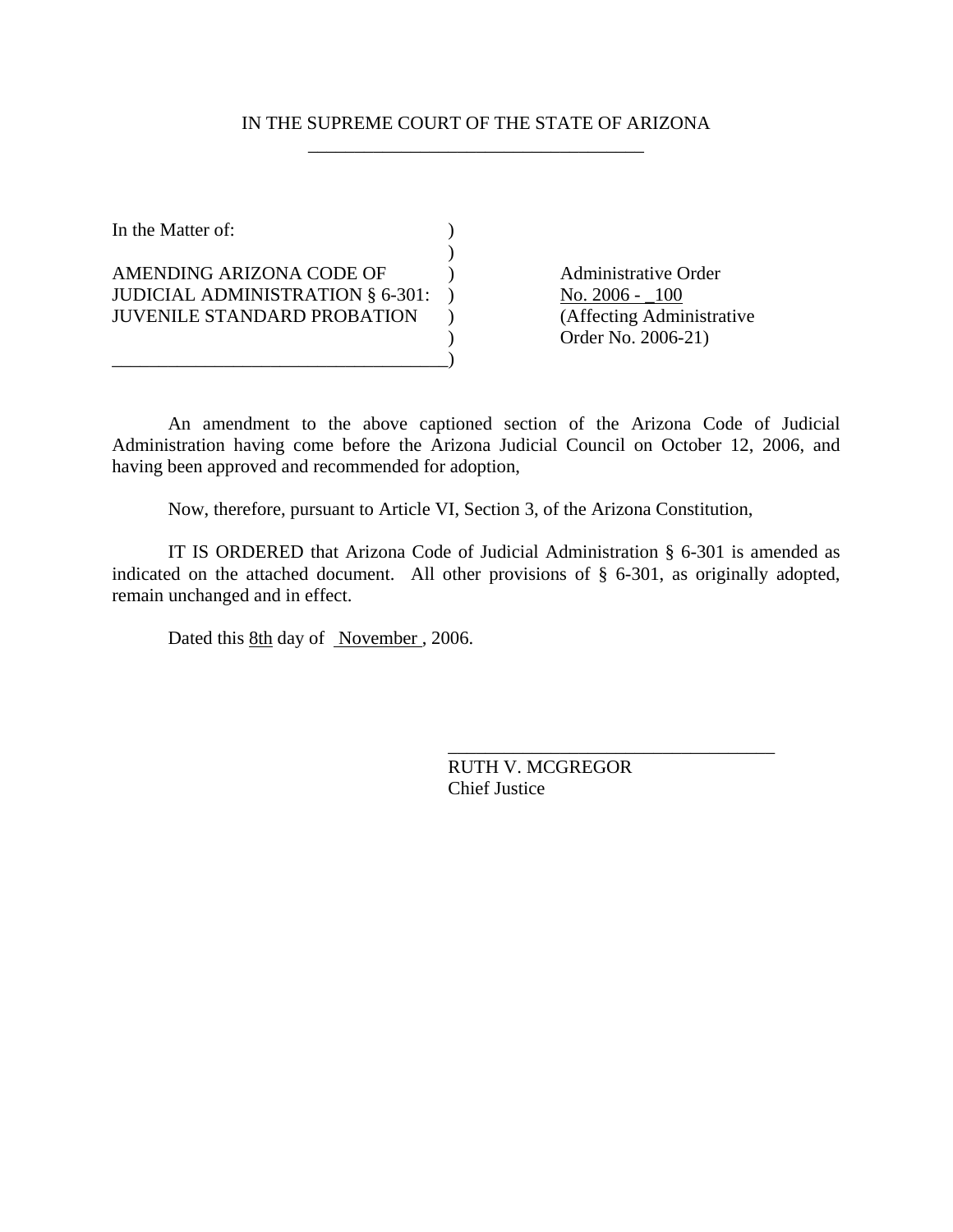# IN THE SUPREME COURT OF THE STATE OF ARIZONA \_\_\_\_\_\_\_\_\_\_\_\_\_\_\_\_\_\_\_\_\_\_\_\_\_\_\_\_\_\_\_\_\_\_\_\_

In the Matter of:  $\qquad \qquad$  )  $\mathcal{L}$ AMENDING ARIZONA CODE OF (a) Administrative Order JUDICIAL ADMINISTRATION § 6-301: ) <br>JUVENILE STANDARD PROBATION ) (Affecting Administrative JUVENILE STANDARD PROBATION ) \_\_\_\_\_\_\_\_\_\_\_\_\_\_\_\_\_\_\_\_\_\_\_\_\_\_\_\_\_\_\_\_\_\_\_\_)

) Order No. 2006-21)

An amendment to the above captioned section of the Arizona Code of Judicial Administration having come before the Arizona Judicial Council on October 12, 2006, and having been approved and recommended for adoption,

Now, therefore, pursuant to Article VI, Section 3, of the Arizona Constitution,

IT IS ORDERED that Arizona Code of Judicial Administration § 6-301 is amended as indicated on the attached document. All other provisions of § 6-301, as originally adopted, remain unchanged and in effect.

Dated this 8th day of November , 2006.

RUTH V. MCGREGOR Chief Justice

\_\_\_\_\_\_\_\_\_\_\_\_\_\_\_\_\_\_\_\_\_\_\_\_\_\_\_\_\_\_\_\_\_\_\_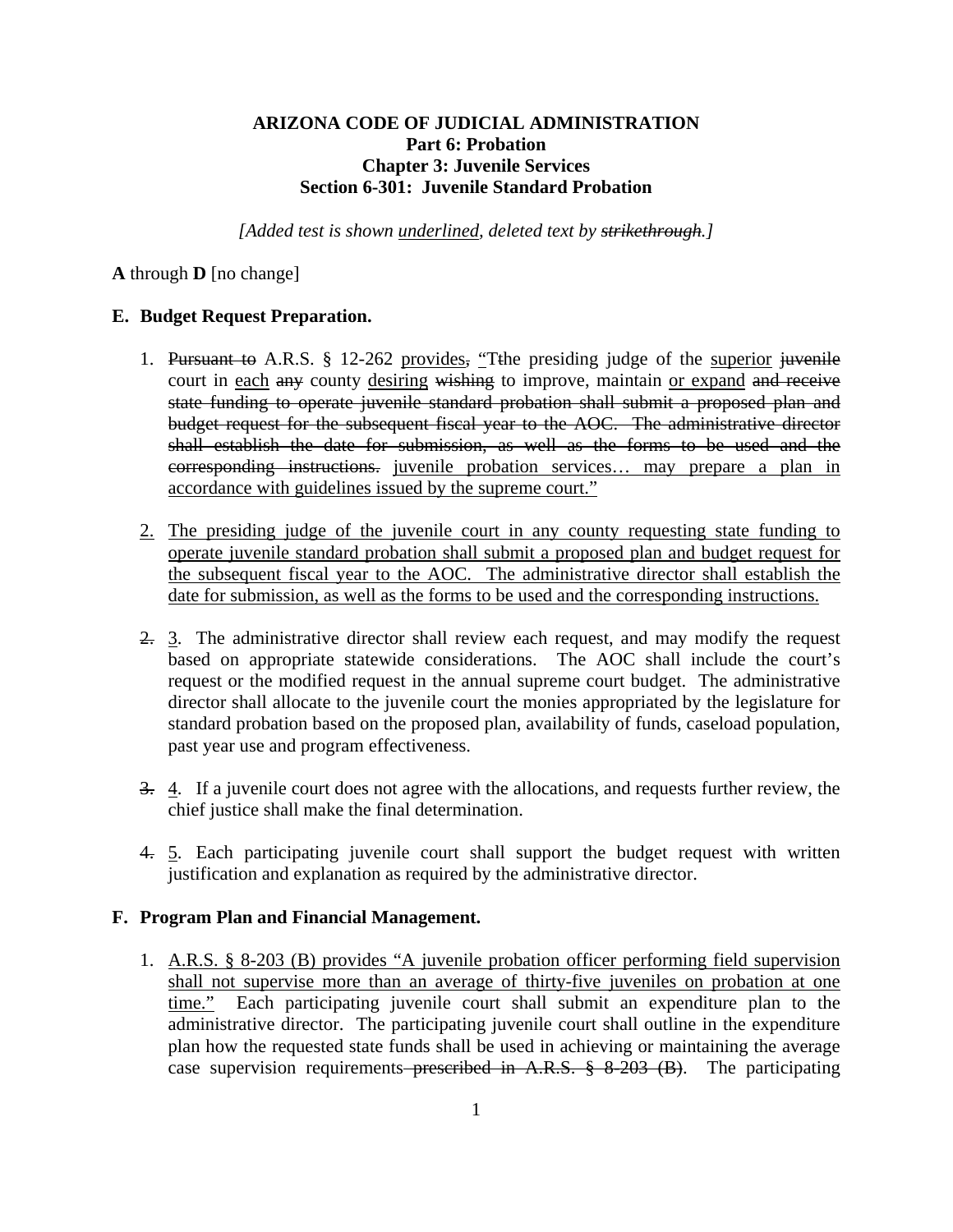# **ARIZONA CODE OF JUDICIAL ADMINISTRATION Part 6: Probation Chapter 3: Juvenile Services Section 6-301: Juvenile Standard Probation**

*[Added test is shown underlined, deleted text by strikethrough.]* 

**A** through **D** [no change]

## **E. Budget Request Preparation.**

- 1. Pursuant to A.R.S. § 12-262 provides, "Tthe presiding judge of the superior juvenile court in each any county desiring wishing to improve, maintain or expand and receive state funding to operate juvenile standard probation shall submit a proposed plan and budget request for the subsequent fiscal year to the AOC. The administrative director shall establish the date for submission, as well as the forms to be used and the corresponding instructions. juvenile probation services… may prepare a plan in accordance with guidelines issued by the supreme court."
- 2. The presiding judge of the juvenile court in any county requesting state funding to operate juvenile standard probation shall submit a proposed plan and budget request for the subsequent fiscal year to the AOC. The administrative director shall establish the date for submission, as well as the forms to be used and the corresponding instructions.
- 2. 3. The administrative director shall review each request, and may modify the request based on appropriate statewide considerations. The AOC shall include the court's request or the modified request in the annual supreme court budget. The administrative director shall allocate to the juvenile court the monies appropriated by the legislature for standard probation based on the proposed plan, availability of funds, caseload population, past year use and program effectiveness.
- 3. 4. If a juvenile court does not agree with the allocations, and requests further review, the chief justice shall make the final determination.
- 4. 5. Each participating juvenile court shall support the budget request with written justification and explanation as required by the administrative director.

## **F. Program Plan and Financial Management.**

1. A.R.S. § 8-203 (B) provides "A juvenile probation officer performing field supervision shall not supervise more than an average of thirty-five juveniles on probation at one time." Each participating juvenile court shall submit an expenditure plan to the administrative director. The participating juvenile court shall outline in the expenditure plan how the requested state funds shall be used in achieving or maintaining the average case supervision requirements–prescribed in A.R.S. § 8-203 (B). The participating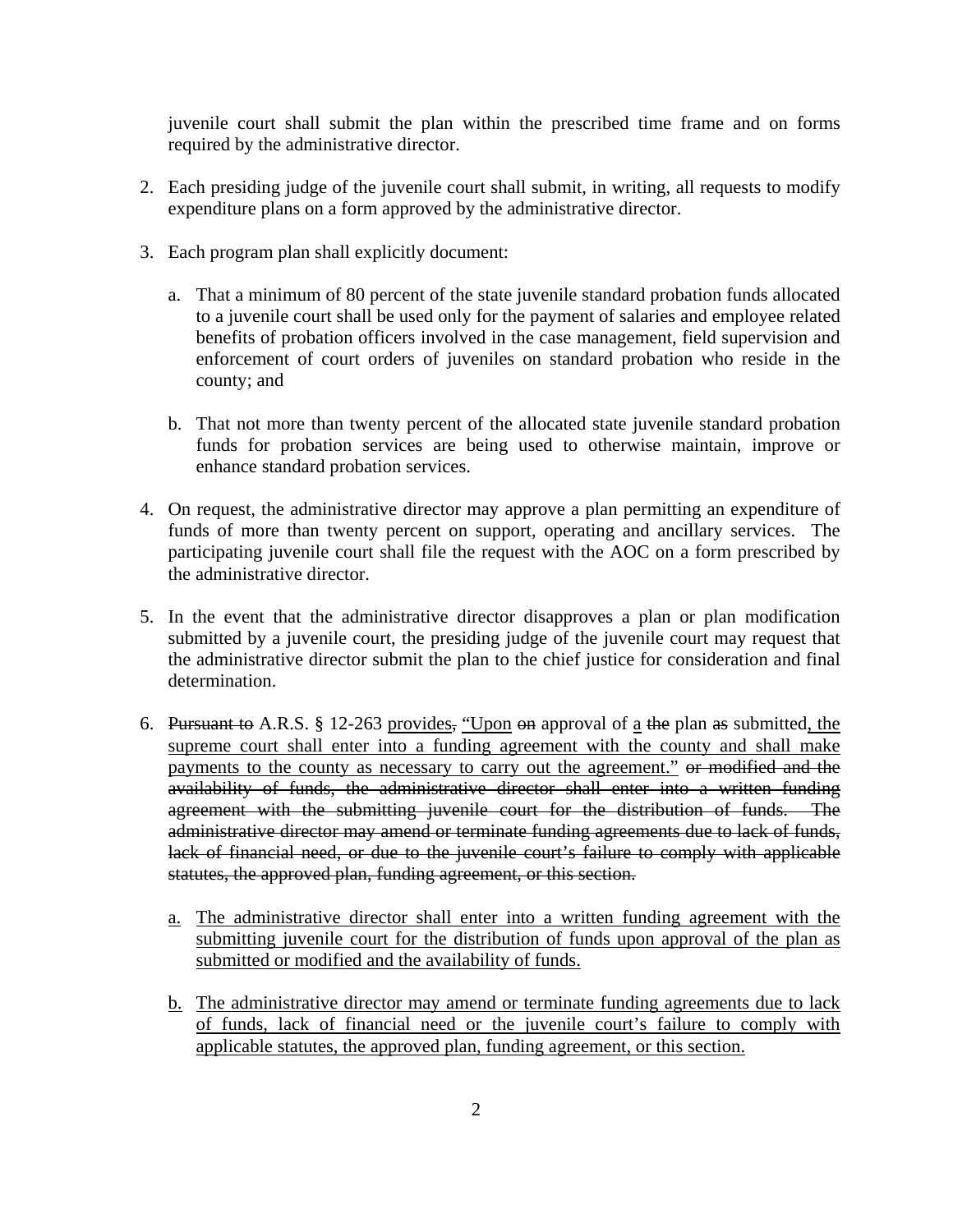juvenile court shall submit the plan within the prescribed time frame and on forms required by the administrative director.

- 2. Each presiding judge of the juvenile court shall submit, in writing, all requests to modify expenditure plans on a form approved by the administrative director.
- 3. Each program plan shall explicitly document:
	- a. That a minimum of 80 percent of the state juvenile standard probation funds allocated to a juvenile court shall be used only for the payment of salaries and employee related benefits of probation officers involved in the case management, field supervision and enforcement of court orders of juveniles on standard probation who reside in the county; and
	- b. That not more than twenty percent of the allocated state juvenile standard probation funds for probation services are being used to otherwise maintain, improve or enhance standard probation services.
- 4. On request, the administrative director may approve a plan permitting an expenditure of funds of more than twenty percent on support, operating and ancillary services. The participating juvenile court shall file the request with the AOC on a form prescribed by the administrative director.
- 5. In the event that the administrative director disapproves a plan or plan modification submitted by a juvenile court, the presiding judge of the juvenile court may request that the administrative director submit the plan to the chief justice for consideration and final determination.
- 6. Pursuant to A.R.S. § 12-263 provides, "Upon  $\Theta$  approval of a the plan as submitted, the supreme court shall enter into a funding agreement with the county and shall make payments to the county as necessary to carry out the agreement." or modified and the availability of funds, the administrative director shall enter into a written funding agreement with the submitting juvenile court for the distribution of funds. The administrative director may amend or terminate funding agreements due to lack of funds, lack of financial need, or due to the juvenile court's failure to comply with applicable statutes, the approved plan, funding agreement, or this section.
	- a. The administrative director shall enter into a written funding agreement with the submitting juvenile court for the distribution of funds upon approval of the plan as submitted or modified and the availability of funds.
	- b. The administrative director may amend or terminate funding agreements due to lack of funds, lack of financial need or the juvenile court's failure to comply with applicable statutes, the approved plan, funding agreement, or this section.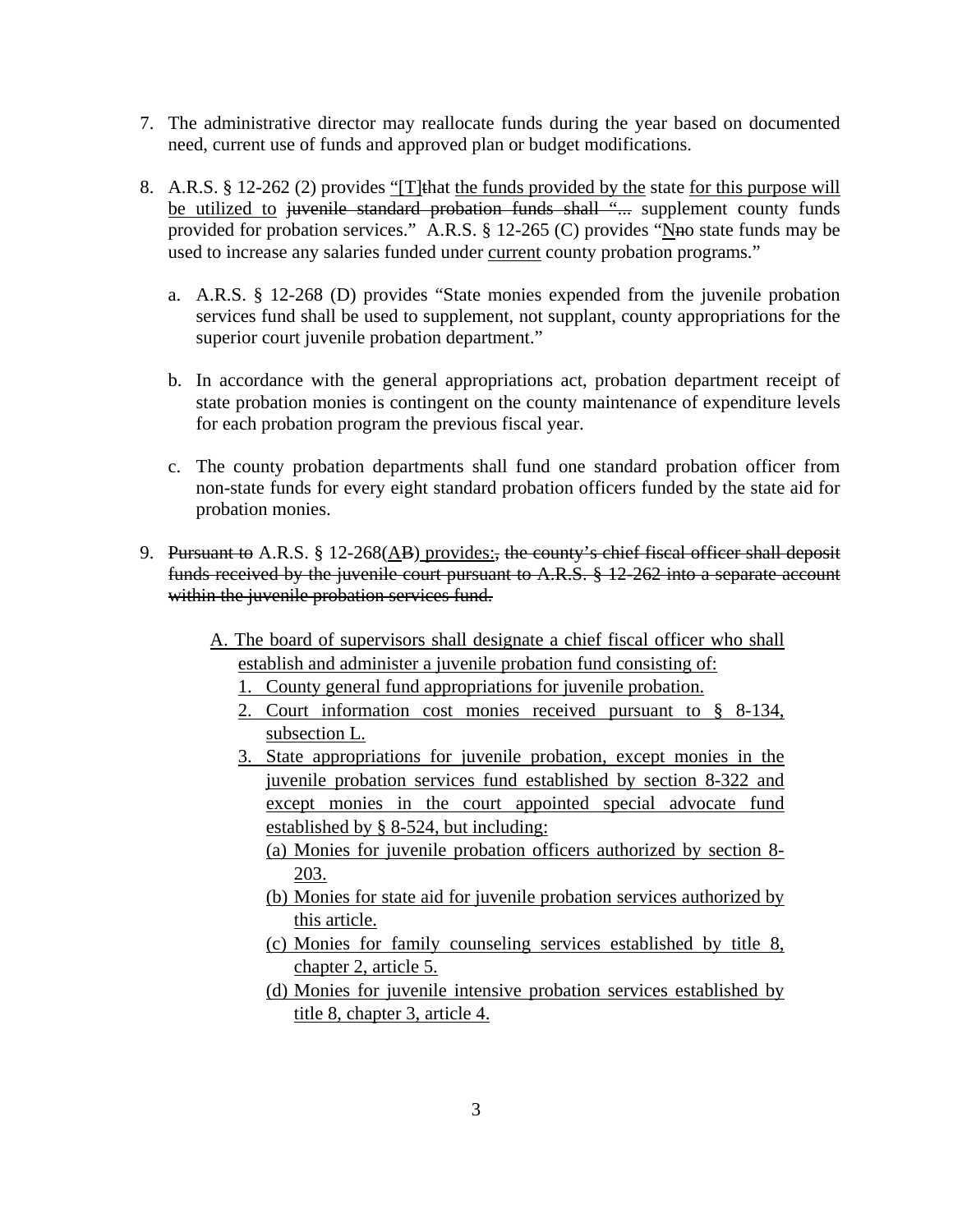- 7. The administrative director may reallocate funds during the year based on documented need, current use of funds and approved plan or budget modifications.
- 8. A.R.S. § 12-262 (2) provides "[T] that the funds provided by the state for this purpose will be utilized to <del>juvenile standard probation funds shall "...</del> supplement county funds provided for probation services." A.R.S. § 12-265 (C) provides "No state funds may be used to increase any salaries funded under current county probation programs."
	- a. A.R.S. § 12-268 (D) provides "State monies expended from the juvenile probation services fund shall be used to supplement, not supplant, county appropriations for the superior court juvenile probation department."
	- b. In accordance with the general appropriations act, probation department receipt of state probation monies is contingent on the county maintenance of expenditure levels for each probation program the previous fiscal year.
	- c. The county probation departments shall fund one standard probation officer from non-state funds for every eight standard probation officers funded by the state aid for probation monies.
- 9. Pursuant to A.R.S. § 12-268(AB) provides:, the county's chief fiscal officer shall deposit funds received by the juvenile court pursuant to A.R.S. § 12-262 into a separate account within the juvenile probation services fund.
	- A. The board of supervisors shall designate a chief fiscal officer who shall establish and administer a juvenile probation fund consisting of:
		- 1. County general fund appropriations for juvenile probation.
		- 2. Court information cost monies received pursuant to § 8-134, subsection L.
		- 3. State appropriations for juvenile probation, except monies in the juvenile probation services fund established by section 8-322 and except monies in the court appointed special advocate fund established by § 8-524, but including:
			- (a) Monies for juvenile probation officers authorized by section 8- 203.
			- (b) Monies for state aid for juvenile probation services authorized by this article.
			- (c) Monies for family counseling services established by title 8, chapter 2, article 5.
			- (d) Monies for juvenile intensive probation services established by title 8, chapter 3, article 4.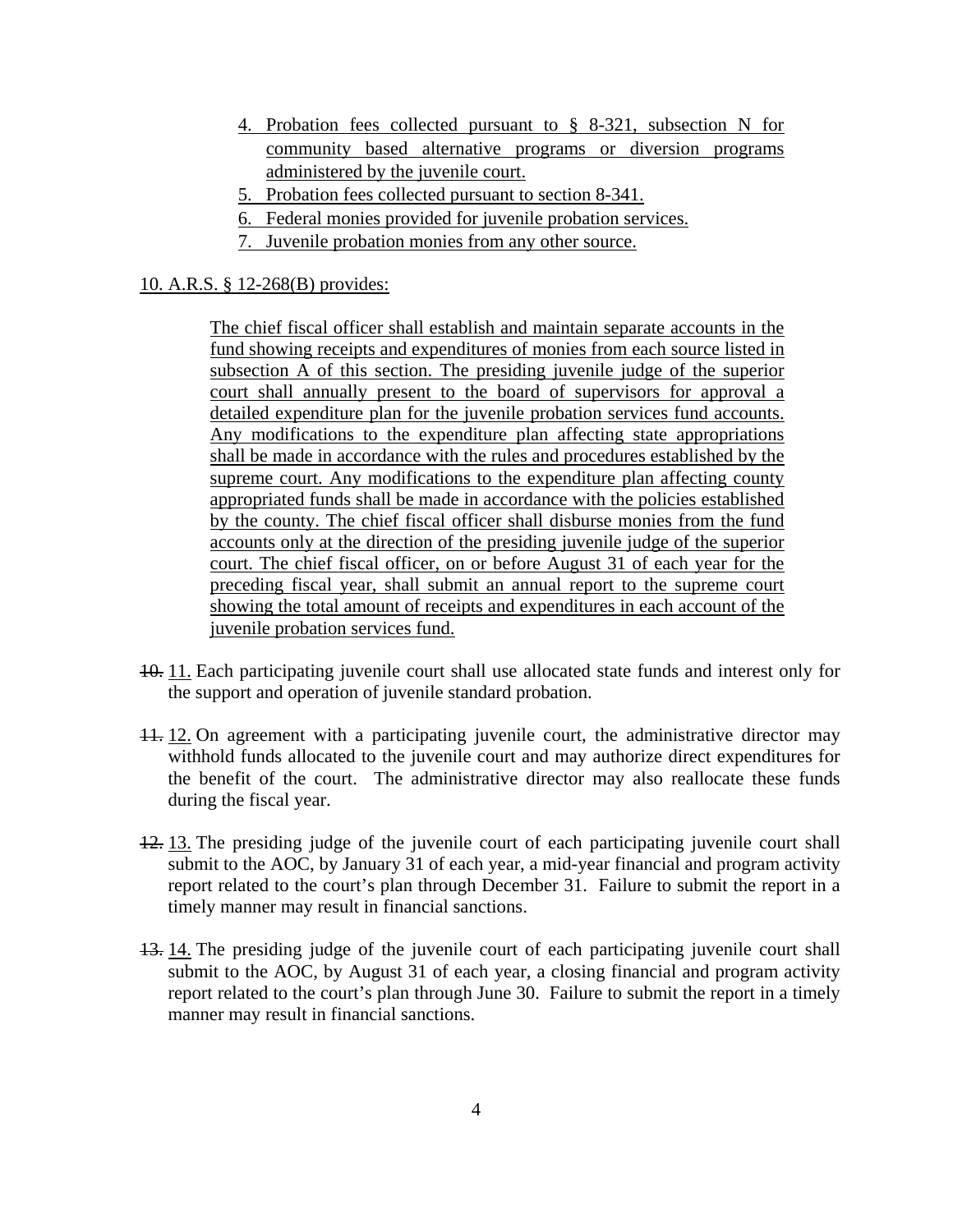- 4. Probation fees collected pursuant to § 8-321, subsection N for community based alternative programs or diversion programs administered by the juvenile court.
- 5. Probation fees collected pursuant to section 8-341.
- 6. Federal monies provided for juvenile probation services.
- 7. Juvenile probation monies from any other source.

## 10. A.R.S. § 12-268(B) provides:

The chief fiscal officer shall establish and maintain separate accounts in the fund showing receipts and expenditures of monies from each source listed in subsection A of this section. The presiding juvenile judge of the superior court shall annually present to the board of supervisors for approval a detailed expenditure plan for the juvenile probation services fund accounts. Any modifications to the expenditure plan affecting state appropriations shall be made in accordance with the rules and procedures established by the supreme court. Any modifications to the expenditure plan affecting county appropriated funds shall be made in accordance with the policies established by the county. The chief fiscal officer shall disburse monies from the fund accounts only at the direction of the presiding juvenile judge of the superior court. The chief fiscal officer, on or before August 31 of each year for the preceding fiscal year, shall submit an annual report to the supreme court showing the total amount of receipts and expenditures in each account of the juvenile probation services fund.

- 10. 11. Each participating juvenile court shall use allocated state funds and interest only for the support and operation of juvenile standard probation.
- 11. 12. On agreement with a participating juvenile court, the administrative director may withhold funds allocated to the juvenile court and may authorize direct expenditures for the benefit of the court. The administrative director may also reallocate these funds during the fiscal year.
- 12. 13. The presiding judge of the juvenile court of each participating juvenile court shall submit to the AOC, by January 31 of each year, a mid-year financial and program activity report related to the court's plan through December 31. Failure to submit the report in a timely manner may result in financial sanctions.
- 13. 14. The presiding judge of the juvenile court of each participating juvenile court shall submit to the AOC, by August 31 of each year, a closing financial and program activity report related to the court's plan through June 30. Failure to submit the report in a timely manner may result in financial sanctions.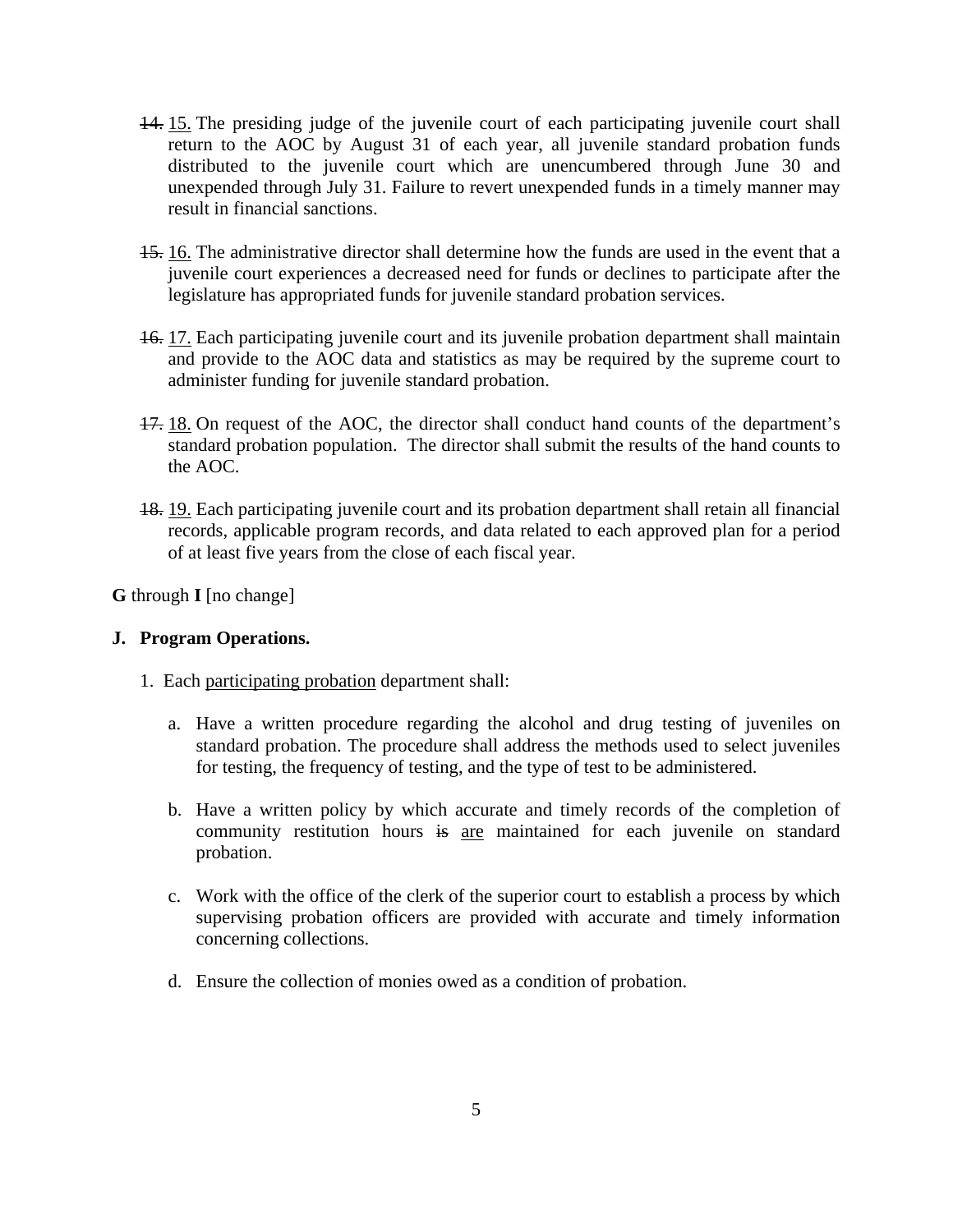- 14. 15. The presiding judge of the juvenile court of each participating juvenile court shall return to the AOC by August 31 of each year, all juvenile standard probation funds distributed to the juvenile court which are unencumbered through June 30 and unexpended through July 31. Failure to revert unexpended funds in a timely manner may result in financial sanctions.
- 15. 16. The administrative director shall determine how the funds are used in the event that a juvenile court experiences a decreased need for funds or declines to participate after the legislature has appropriated funds for juvenile standard probation services.
- 16. 17. Each participating juvenile court and its juvenile probation department shall maintain and provide to the AOC data and statistics as may be required by the supreme court to administer funding for juvenile standard probation.
- 17. 18. On request of the AOC, the director shall conduct hand counts of the department's standard probation population. The director shall submit the results of the hand counts to the AOC.
- 18. 19. Each participating juvenile court and its probation department shall retain all financial records, applicable program records, and data related to each approved plan for a period of at least five years from the close of each fiscal year.

**G** through **I** [no change]

# **J. Program Operations.**

- 1. Each participating probation department shall:
	- a. Have a written procedure regarding the alcohol and drug testing of juveniles on standard probation. The procedure shall address the methods used to select juveniles for testing, the frequency of testing, and the type of test to be administered.
	- b. Have a written policy by which accurate and timely records of the completion of community restitution hours is are maintained for each juvenile on standard probation.
	- c. Work with the office of the clerk of the superior court to establish a process by which supervising probation officers are provided with accurate and timely information concerning collections.
	- d. Ensure the collection of monies owed as a condition of probation.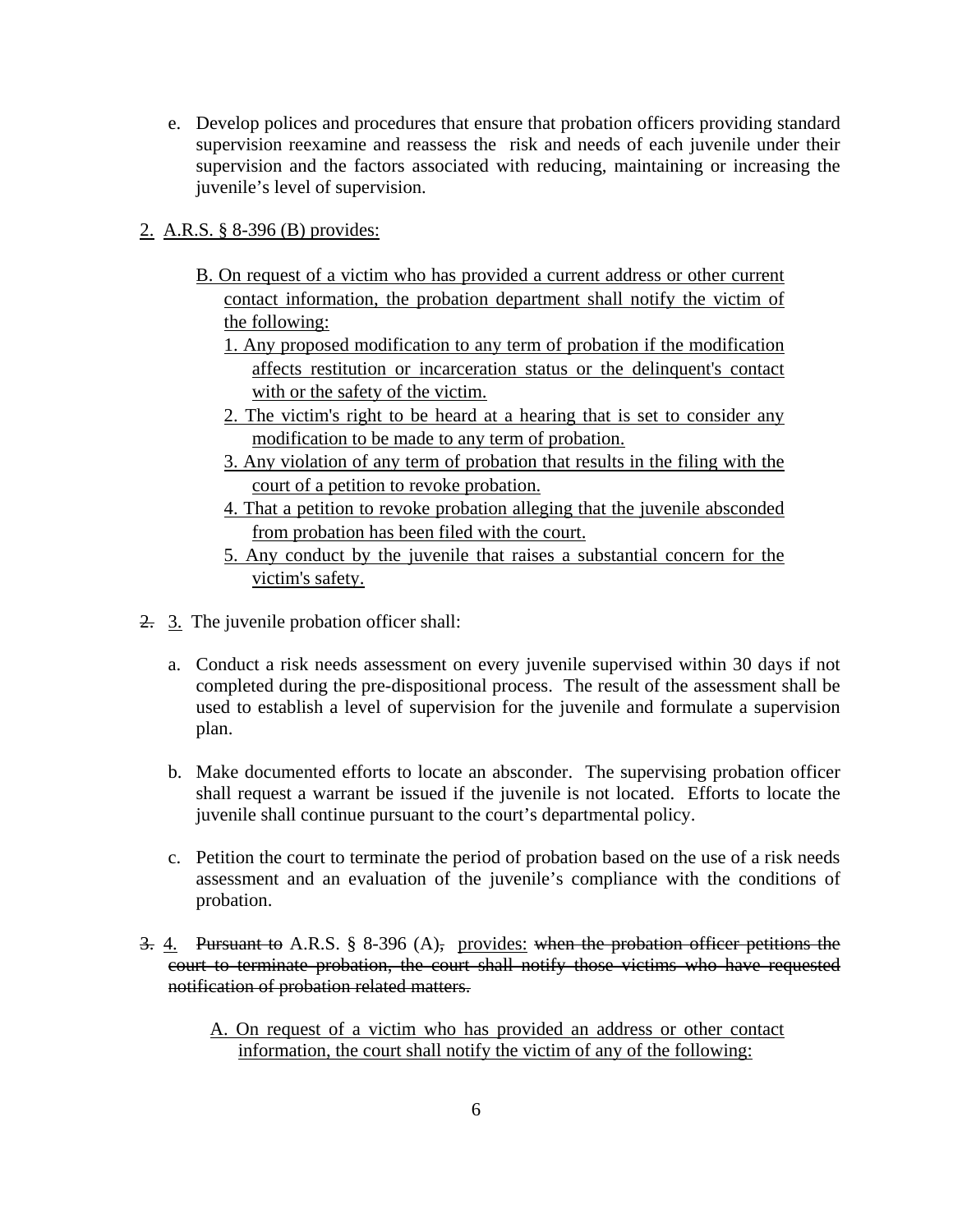e. Develop polices and procedures that ensure that probation officers providing standard supervision reexamine and reassess the risk and needs of each juvenile under their supervision and the factors associated with reducing, maintaining or increasing the juvenile's level of supervision.

# 2. A.R.S. § 8-396 (B) provides:

- B. On request of a victim who has provided a current address or other current contact information, the probation department shall notify the victim of the following:
	- 1. Any proposed modification to any term of probation if the modification affects restitution or incarceration status or the delinquent's contact with or the safety of the victim.
	- 2. The victim's right to be heard at a hearing that is set to consider any modification to be made to any term of probation.
	- 3. Any violation of any term of probation that results in the filing with the court of a petition to revoke probation.
	- 4. That a petition to revoke probation alleging that the juvenile absconded from probation has been filed with the court.
	- 5. Any conduct by the juvenile that raises a substantial concern for the victim's safety.
- 2. 3. The juvenile probation officer shall:
	- a. Conduct a risk needs assessment on every juvenile supervised within 30 days if not completed during the pre-dispositional process. The result of the assessment shall be used to establish a level of supervision for the juvenile and formulate a supervision plan.
	- b. Make documented efforts to locate an absconder. The supervising probation officer shall request a warrant be issued if the juvenile is not located. Efforts to locate the juvenile shall continue pursuant to the court's departmental policy.
	- c. Petition the court to terminate the period of probation based on the use of a risk needs assessment and an evaluation of the juvenile's compliance with the conditions of probation.
- 3. 4. Pursuant to A.R.S. § 8-396 (A), provides: when the probation officer petitions the court to terminate probation, the court shall notify those victims who have requested notification of probation related matters.
	- A. On request of a victim who has provided an address or other contact information, the court shall notify the victim of any of the following: